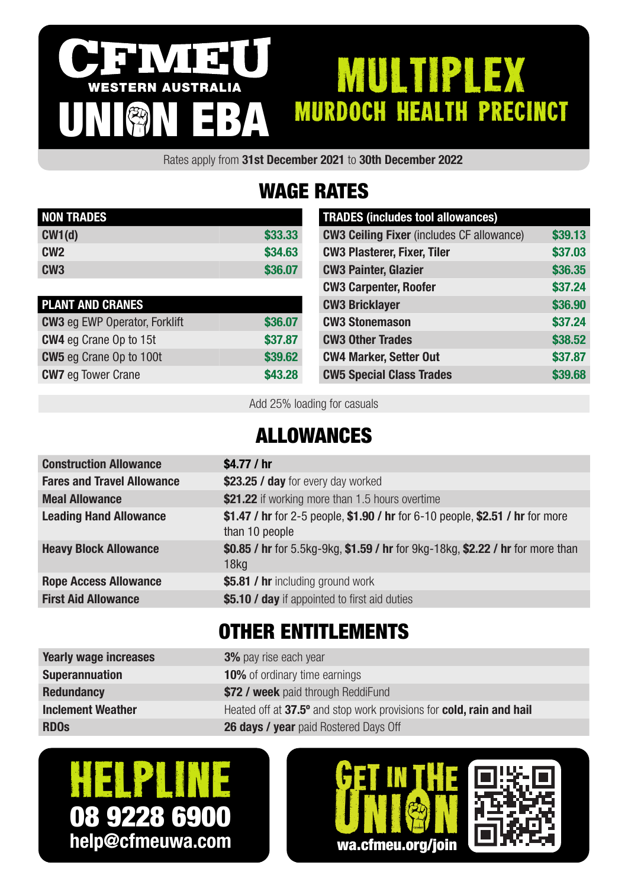#### IVI 3 MULTIPLEX WESTERN AUSTRALIA murdoch health precinct UNION EBA

Rates apply from 31st December 2021 to 30th December 2022

# WAGE RATES

| <b>NON TRADES</b> |         |
|-------------------|---------|
| CW1(d)            | \$33.33 |
| CW <sub>2</sub>   | \$34.63 |
| CW <sub>3</sub>   | \$36,07 |

| <b>PLANT AND CRANES</b>              |         |
|--------------------------------------|---------|
| <b>CW3</b> eg EWP Operator, Forklift | \$36.07 |
| <b>CW4</b> eg Crane Op to 15t        | \$37.87 |
| <b>CW5</b> eg Crane Op to 100t       | \$39,62 |
| <b>CW7</b> eg Tower Crane            | \$43.28 |

| <b>TRADES (includes tool allowances)</b>         |         |
|--------------------------------------------------|---------|
| <b>CW3 Ceiling Fixer</b> (includes CF allowance) | \$39.13 |
| <b>CW3 Plasterer, Fixer, Tiler</b>               | \$37.03 |
| <b>CW3 Painter, Glazier</b>                      | \$36.35 |
| <b>CW3 Carpenter, Roofer</b>                     | \$37.24 |
| <b>CW3 Bricklayer</b>                            | \$36.90 |
| <b>CW3 Stonemason</b>                            | \$37.24 |
| <b>CW3 Other Trades</b>                          | \$38.52 |
| <b>CW4 Marker, Setter Out</b>                    | \$37.87 |
| <b>CW5 Special Class Trades</b>                  | \$39.68 |

Add 25% loading for casuals

#### ALLOWANCES

| <b>Construction Allowance</b>     | \$4.77 / $hr$                                                                                      |
|-----------------------------------|----------------------------------------------------------------------------------------------------|
| <b>Fares and Travel Allowance</b> | \$23.25 / day for every day worked                                                                 |
| <b>Meal Allowance</b>             | \$21.22 if working more than 1.5 hours overtime                                                    |
| <b>Leading Hand Allowance</b>     | \$1.47 / hr for 2-5 people, \$1.90 / hr for 6-10 people, \$2.51 / hr for more<br>than 10 people    |
| <b>Heavy Block Allowance</b>      | \$0.85 / hr for 5.5kg-9kg, \$1.59 / hr for 9kg-18kg, \$2.22 / hr for more than<br>18 <sub>kq</sub> |
| <b>Rope Access Allowance</b>      | \$5.81 / hr including ground work                                                                  |
| <b>First Aid Allowance</b>        | \$5.10 / day if appointed to first aid duties                                                      |
|                                   |                                                                                                    |

### OTHER ENTITLEMENTS

| <b>Yearly wage increases</b> | <b>3%</b> pay rise each year                                         |
|------------------------------|----------------------------------------------------------------------|
| <b>Superannuation</b>        | <b>10%</b> of ordinary time earnings                                 |
| <b>Redundancy</b>            | \$72 / week paid through ReddiFund                                   |
| <b>Inclement Weather</b>     | Heated off at 37.5° and stop work provisions for cold, rain and hail |
| <b>RDOs</b>                  | <b>26 days / year</b> paid Rostered Days Off                         |